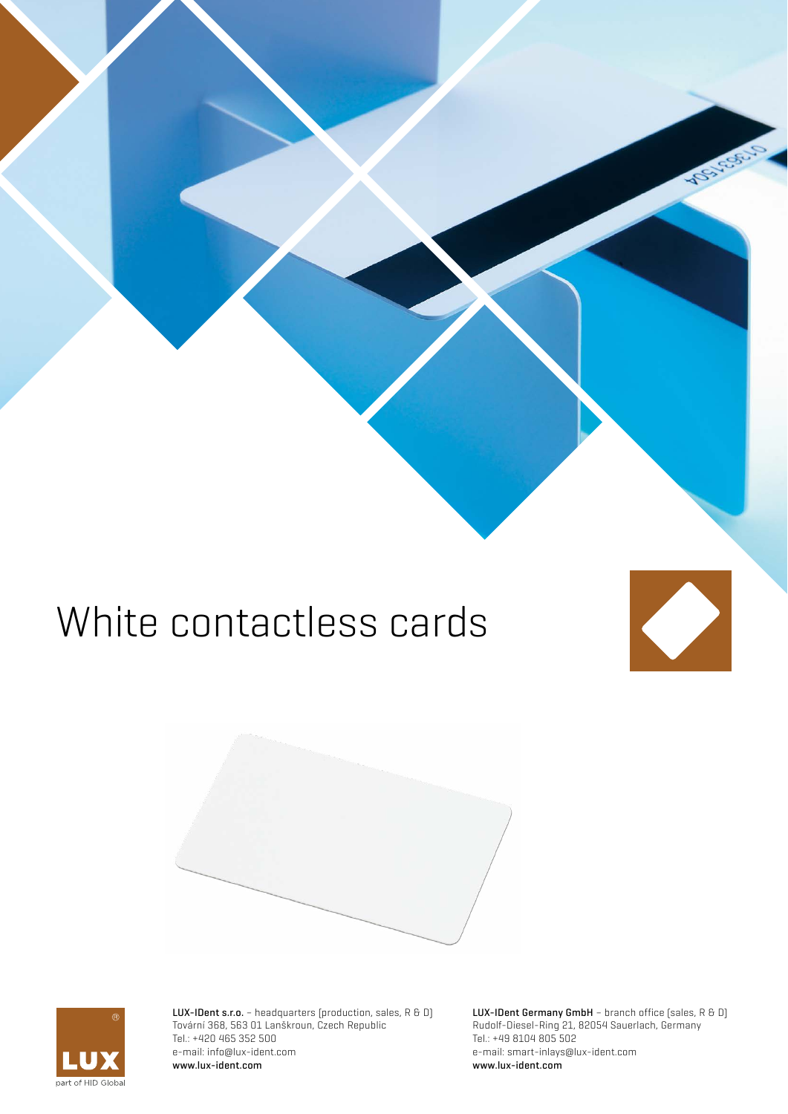# White contactless cards





LUX-IDent s.r.o. - headquarters (production, sales, R & D) Tovární 368, 563 01 Lanškroun, Czech Republic Tel.: +420 465 352 500 e-mail: info@lux-ident.com www.lux-ident.com

LUX-IDent Germany GmbH - branch office (sales, R & D) Rudolf-Diesel-Ring 21, 82054 Sauerlach, Germany Tel.: +49 8104 805 502 e-mail: smart-inlays@lux-ident.com www.lux-ident.com

**CENT** 

 $\overline{\phantom{a}}$